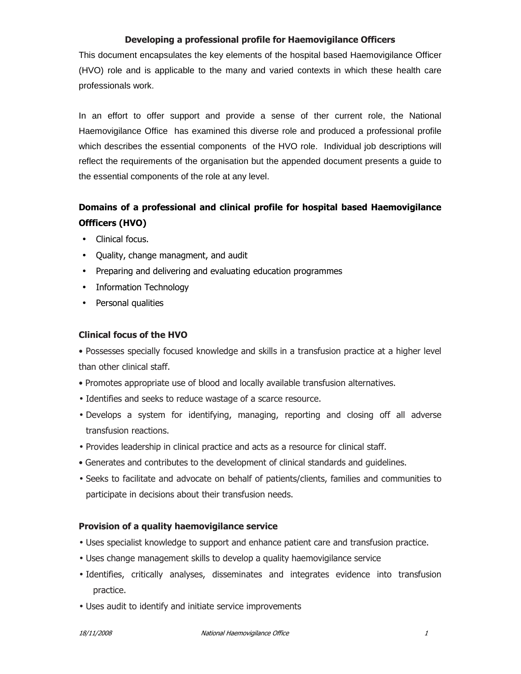#### Developing a professional profile for Haemovigilance Officers

This document encapsulates the key elements of the hospital based Haemovigilance Officer (HVO) role and is applicable to the many and varied contexts in which these health care professionals work.

In an effort to offer support and provide a sense of ther current role, the National Haemovigilance Office has examined this diverse role and produced a professional profile which describes the essential components of the HVO role. Individual job descriptions will reflect the requirements of the organisation but the appended document presents a guide to the essential components of the role at any level.

# Domains of a professional and clinical profile for hospital based Haemovigilance Offficers (HVO)

- Clinical focus.
- Quality, change managment, and audit
- Preparing and delivering and evaluating education programmes
- Information Technology
- Personal qualities

## Clinical focus of the HVO

• Possesses specially focused knowledge and skills in a transfusion practice at a higher level than other clinical staff.

- Promotes appropriate use of blood and locally available transfusion alternatives.
- Identifies and seeks to reduce wastage of a scarce resource.
- Develops a system for identifying, managing, reporting and closing off all adverse transfusion reactions.
- Provides leadership in clinical practice and acts as a resource for clinical staff.
- Generates and contributes to the development of clinical standards and guidelines.
- Seeks to facilitate and advocate on behalf of patients/clients, families and communities to participate in decisions about their transfusion needs.

### Provision of a quality haemovigilance service

- Uses specialist knowledge to support and enhance patient care and transfusion practice.
- Uses change management skills to develop a quality haemovigilance service
- Identifies, critically analyses, disseminates and integrates evidence into transfusion practice.
- Uses audit to identify and initiate service improvements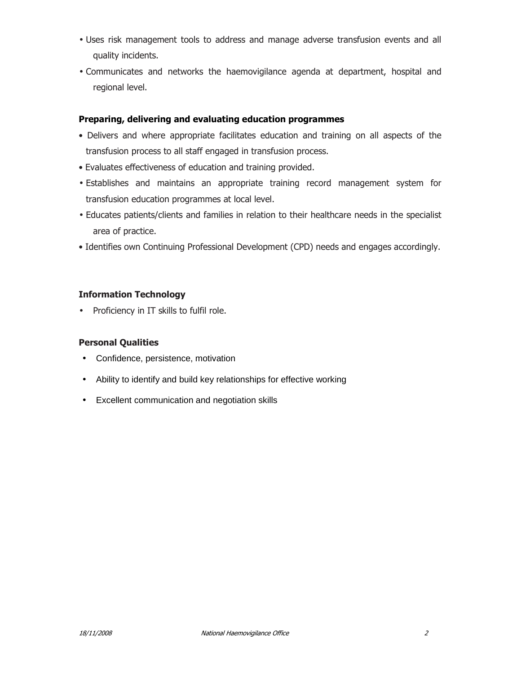- Uses risk management tools to address and manage adverse transfusion events and all quality incidents.
- Communicates and networks the haemovigilance agenda at department, hospital and regional level.

### Preparing, delivering and evaluating education programmes

- Delivers and where appropriate facilitates education and training on all aspects of the transfusion process to all staff engaged in transfusion process.
- Evaluates effectiveness of education and training provided.
- Establishes and maintains an appropriate training record management system for transfusion education programmes at local level.
- Educates patients/clients and families in relation to their healthcare needs in the specialist area of practice.
- Identifies own Continuing Professional Development (CPD) needs and engages accordingly.

### Information Technology

• Proficiency in IT skills to fulfil role.

### Personal Qualities

- Confidence, persistence, motivation
- Ability to identify and build key relationships for effective working
- Excellent communication and negotiation skills